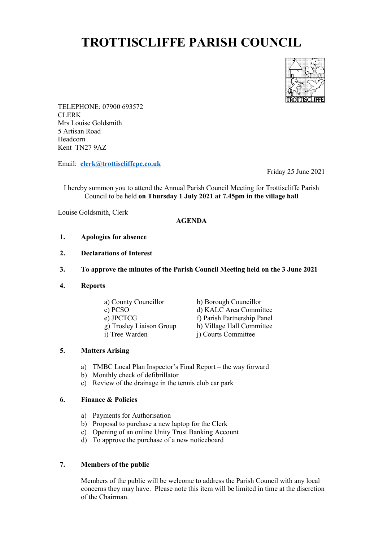# **TROTTISCLIFFE PARISH COUNCIL**



TELEPHONE: 07900 693572 CLERK Mrs Louise Goldsmith 5 Artisan Road Headcorn Kent TN27 9AZ

Email: **[clerk@trottiscliffepc.co.uk](mailto:clerk@trottiscliffepc.co.uk)**

Friday 25 June 2021

I hereby summon you to attend the Annual Parish Council Meeting for Trottiscliffe Parish Council to be held **on Thursday 1 July 2021 at 7.45pm in the village hall** 

Louise Goldsmith, Clerk

#### **AGENDA**

- **1. Apologies for absence**
- **2. Declarations of Interest**
- **3. To approve the minutes of the Parish Council Meeting held on the 3 June 2021**
- **4. Reports**

| a) County Councillor     | b) Borough Councillor       |
|--------------------------|-----------------------------|
| c) PCSO                  | d) KALC Area Committee      |
| e) JPCTCG                | f) Parish Partnership Panel |
| g) Trosley Liaison Group | h) Village Hall Committee   |
| i) Tree Warden           | j) Courts Committee         |
|                          |                             |

## **5. Matters Arising**

- a) TMBC Local Plan Inspector's Final Report the way forward
- b) Monthly check of defibrillator
- c) Review of the drainage in the tennis club car park

#### **6. Finance & Policies**

- a) Payments for Authorisation
- b) Proposal to purchase a new laptop for the Clerk
- c) Opening of an online Unity Trust Banking Account
- d) To approve the purchase of a new noticeboard

### **7. Members of the public**

Members of the public will be welcome to address the Parish Council with any local concerns they may have. Please note this item will be limited in time at the discretion of the Chairman.